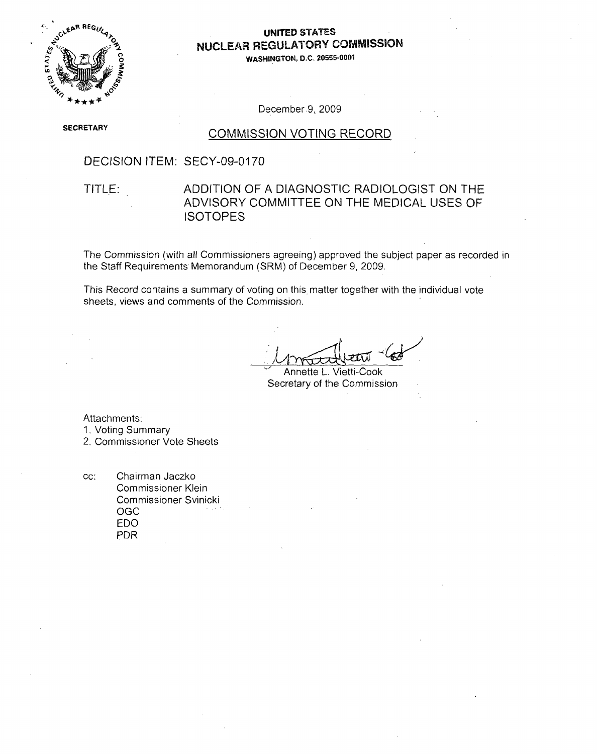

### **NUCLEAR** REGULATORY **COMMISSION MAGILATORY**

 $P$  Commission  $P$ 

**SECRETARY** 

#### **COMMISSION VOTING RECORD**

#### DECISION ITEM: SECY-09-0170

## ADDITION OF A DIAGNOSTIC RADIOLOGIST ON THE ADVISORY COMMITTEE ON THE MEDICAL USES OF ISOTOPES

The Commission (with all Commissioners agreeing) approved the subject paper as recorded in the Staff Requirements Memorandum (SRM) of December 9, 2009.

This Record contains a summary of voting on this matter together with the individual vote sheets, views and comments of the Commission.

This Record contains a summary of voting on this matter together with the individual votens  $\mathcal{C}$ 

The Commission (with all Commissioners agreement) approximation approximation  $\mu$ 

 $M$ natt $N$ tti

Annette L. Vietti-Cook Secretary of the Commission

Attachments: 1. Voting Summary<br>2. Commissioner Vote Sheets

CC: Chairman Jaczko Commissioner Klein Commissioner Svinicki **OGC** EDO PDR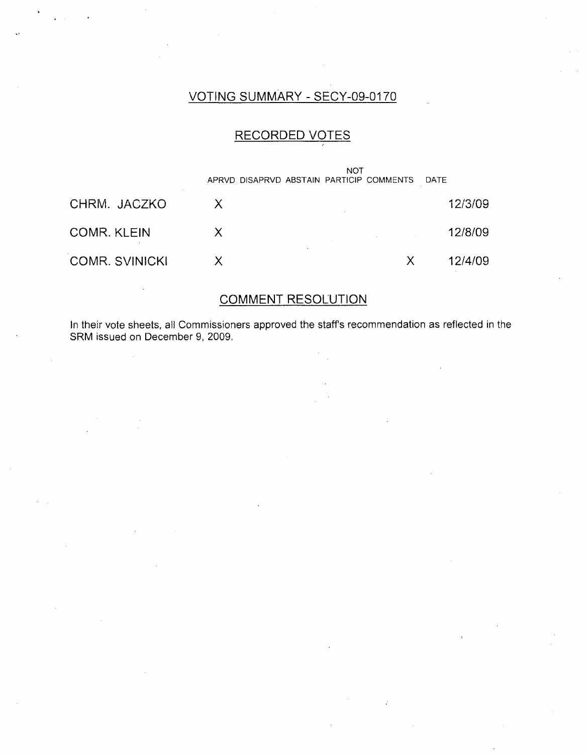### VOTING SUMMARY - SECY-09-0170

### RECORDED VOTES

|                       | <b>NOT</b><br>APRVD DISAPRVD ABSTAIN PARTICIP COMMENTS DATE |         |
|-----------------------|-------------------------------------------------------------|---------|
| CHRM. JACZKO          |                                                             | 12/3/09 |
| <b>COMR. KLEIN</b>    | X                                                           | 12/8/09 |
| <b>COMR. SVINICKI</b> |                                                             | 12/4/09 |

### COMMENT RESOLUTION

In their vote sheets, all Commissioners approved the staffs recommendation as reflected in the SRM issued on December 9, 2009.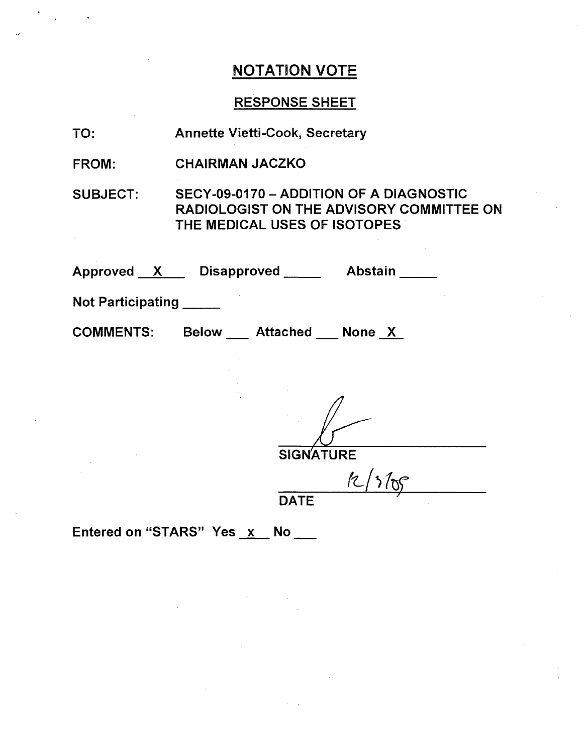# NOTATION VOTE

 $\ddot{\phantom{a}}$ 

# RESPONSE SHEET

| TO:               | <b>Annette Vietti-Cook, Secretary</b>                                                                               |
|-------------------|---------------------------------------------------------------------------------------------------------------------|
| <b>FROM:</b>      | <b>CHAIRMAN JACZKO</b>                                                                                              |
| <b>SUBJECT:</b>   | SECY-09-0170 - ADDITION OF A DIAGNOSTIC<br>RADIOLOGIST ON THE ADVISORY COMMITTEE ON<br>THE MEDICAL USES OF ISOTOPES |
|                   | Approved X Disapproved Abstain                                                                                      |
| Not Participating |                                                                                                                     |
|                   | COMMENTS: Below __ Attached __ None X                                                                               |
|                   |                                                                                                                     |
|                   |                                                                                                                     |
|                   | <b>SIGNATURE</b>                                                                                                    |
|                   |                                                                                                                     |
|                   | <b>DATE</b>                                                                                                         |
|                   | Entered on "STARS" Yes x No                                                                                         |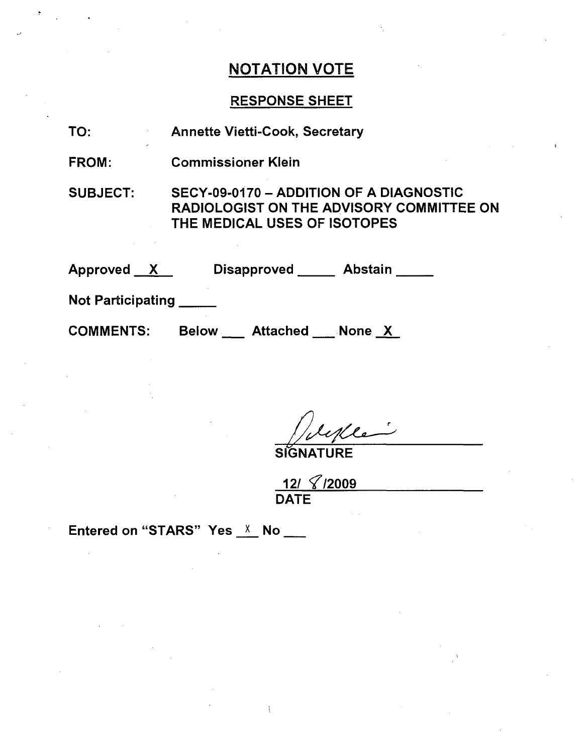## NOTATION VOTE

## RESPONSE SHEET

| TO:                                            | <b>Annette Vietti-Cook, Secretary</b>                                                                                      |
|------------------------------------------------|----------------------------------------------------------------------------------------------------------------------------|
| FROM:                                          | <b>Commissioner Klein</b>                                                                                                  |
| <b>SUBJECT:</b>                                | SECY-09-0170 - ADDITION OF A DIAGNOSTIC<br><b>RADIOLOGIST ON THE ADVISORY COMMITTEE ON</b><br>THE MEDICAL USES OF ISOTOPES |
| $\bm{\mathsf{Approved}} \quad \bm{\mathsf{X}}$ | Disapproved Abstain                                                                                                        |
| <b>Not Participating</b>                       |                                                                                                                            |
| <b>COMMENTS:</b>                               | Below Attached None X                                                                                                      |

 $\overline{\phantom{a}}$ Mle

**SIGNATURE** 

12/ **T'/2009** DATE

 $\mathbf{I}$ 

Entered on "STARS" Yes  $X$  No \_\_

 $\bar{\beta}$